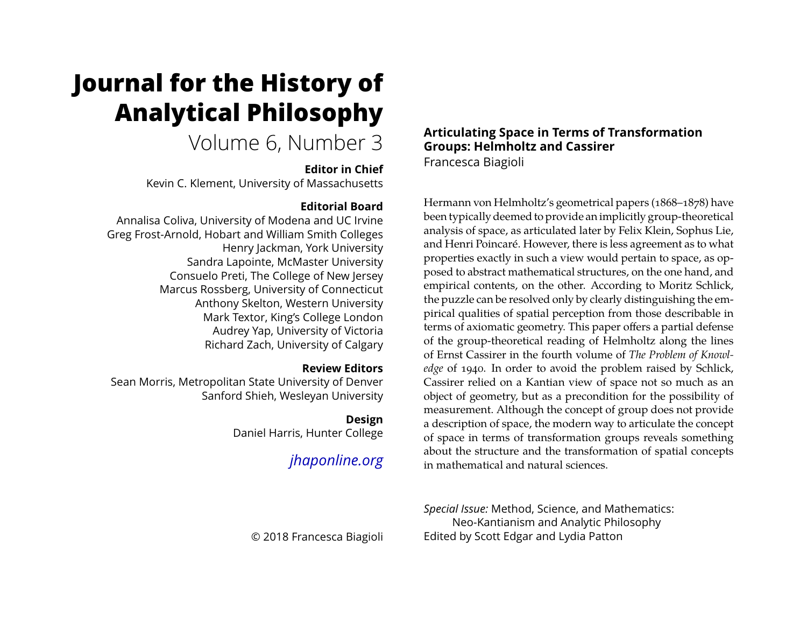# **Journal for the History of Analytical Philosophy**

# Volume 6, Number 3

#### **Editor in Chief**

Kevin C. Klement, University of Massachusetts

#### **Editorial Board**

Annalisa Coliva, University of Modena and UC Irvine Greg Frost-Arnold, Hobart and William Smith Colleges Henry Jackman, York University Sandra Lapointe, McMaster University Consuelo Preti, The College of New Jersey Marcus Rossberg, University of Connecticut Anthony Skelton, Western University Mark Textor, King's College London Audrey Yap, University of Victoria Richard Zach, University of Calgary

#### **Review Editors**

Sean Morris, Metropolitan State University of Denver Sanford Shieh, Wesleyan University

#### **Design**

Daniel Harris, Hunter College

## *[jhaponline.org](https://jhaponline.org)*

### **Articulating Space in Terms of Transformation Groups: Helmholtz and Cassirer**

Francesca Biagioli

Hermann von Helmholtz's geometrical papers (1868–1878) have been typically deemed to provide an implicitly group-theoretical analysis of space, as articulated later by Felix Klein, Sophus Lie, and Henri Poincaré. However, there is less agreement as to what properties exactly in such a view would pertain to space, as opposed to abstract mathematical structures, on the one hand, and empirical contents, on the other. According to Moritz Schlick, the puzzle can be resolved only by clearly distinguishing the empirical qualities of spatial perception from those describable in terms of axiomatic geometry. This paper offers a partial defense of the group-theoretical reading of Helmholtz along the lines of Ernst Cassirer in the fourth volume of *The Problem of Knowledge* of 1940. In order to avoid the problem raised by Schlick, Cassirer relied on a Kantian view of space not so much as an object of geometry, but as a precondition for the possibility of measurement. Although the concept of group does not provide a description of space, the modern way to articulate the concept of space in terms of transformation groups reveals something about the structure and the transformation of spatial concepts in mathematical and natural sciences.

*Special Issue:* Method, Science, and Mathematics: Neo-Kantianism and Analytic Philosophy Edited by Scott Edgar and Lydia Patton

© 2018 Francesca Biagioli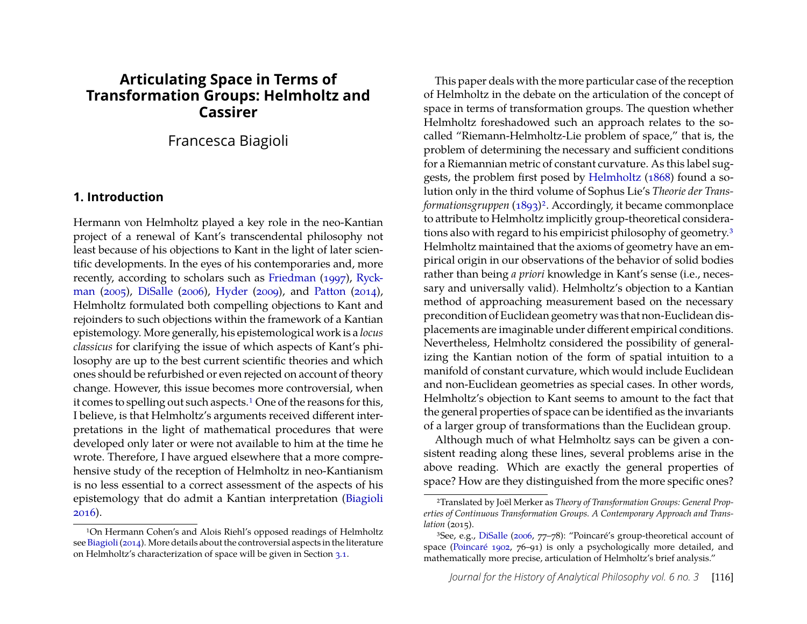#### **Articulating Space in Terms of Transformation Groups: Helmholtz and Cassirer**

#### Francesca Biagioli

#### **1. Introduction**

Hermann von Helmholtz played a key role in the neo-Kantian project of a renewal of Kant's transcendental philosophy not least because of his objections to Kant in the light of later scientific developments. In the eyes of his contemporaries and, more recently, according to scholars such as [Friedman](#page-15-0) [\(1997\)](#page-15-0), [Ryck](#page-16-0)[man](#page-16-0) [\(2005\)](#page-16-0), [DiSalle](#page-15-1) [\(2006\)](#page-15-1), [Hyder](#page-15-2) [\(2009\)](#page-15-2), and [Patton](#page-16-1) [\(2014\)](#page-16-1), Helmholtz formulated both compelling objections to Kant and rejoinders to such objections within the framework of a Kantian epistemology. More generally, his epistemological work is a *locus classicus* for clarifying the issue of which aspects of Kant's philosophy are up to the best current scientific theories and which ones should be refurbished or even rejected on account of theory change. However, this issue becomes more controversial, when it comes to spelling out such aspects.<sup>[1](#page-1-0)</sup> One of the reasons for this, I believe, is that Helmholtz's arguments received different interpretations in the light of mathematical procedures that were developed only later or were not available to him at the time he wrote. Therefore, I have argued elsewhere that a more comprehensive study of the reception of Helmholtz in neo-Kantianism is no less essential to a correct assessment of the aspects of his epistemology that do admit a Kantian interpretation [\(Biagioli](#page-15-3) [2016\)](#page-15-3).

This paper deals with the more particular case of the reception of Helmholtz in the debate on the articulation of the concept of space in terms of transformation groups. The question whether Helmholtz foreshadowed such an approach relates to the socalled "Riemann-Helmholtz-Lie problem of space," that is, the problem of determining the necessary and sufficient conditions for a Riemannian metric of constant curvature. As this label suggests, the problem first posed by [Helmholtz](#page-15-5) [\(1868\)](#page-15-5) found a solution only in the third volume of Sophus Lie's *Theorie der Transformationsgruppen* [\(1893\)](#page-16-2)<sup>[2](#page-1-1)</sup>. Accordingly, it became commonplace to attribute to Helmholtz implicitly group-theoretical considerations also with regard to his empiricist philosophy of geometry.[3](#page-1-2) Helmholtz maintained that the axioms of geometry have an empirical origin in our observations of the behavior of solid bodies rather than being *a priori* knowledge in Kant's sense (i.e., necessary and universally valid). Helmholtz's objection to a Kantian method of approaching measurement based on the necessary precondition of Euclidean geometry was that non-Euclidean displacements are imaginable under different empirical conditions. Nevertheless, Helmholtz considered the possibility of generalizing the Kantian notion of the form of spatial intuition to a manifold of constant curvature, which would include Euclidean and non-Euclidean geometries as special cases. In other words, Helmholtz's objection to Kant seems to amount to the fact that the general properties of space can be identified as the invariants of a larger group of transformations than the Euclidean group.

Although much of what Helmholtz says can be given a consistent reading along these lines, several problems arise in the above reading. Which are exactly the general properties of space? How are they distinguished from the more specific ones?

<span id="page-1-0"></span><sup>1</sup>On Hermann Cohen's and Alois Riehl's opposed readings of Helmholtz see [Biagioli\(2014\)](#page-15-4). More details about the controversial aspects in the literature on Helmholtz's characterization of space will be given in Section [3.1.](#page-8-0)

<span id="page-1-1"></span><sup>2</sup>Translated by Joël Merker as *Theory of Transformation Groups: General Properties of Continuous Transformation Groups. A Contemporary Approach and Translation* (2015).

<span id="page-1-2"></span><sup>3</sup>See, e.g., [DiSalle](#page-15-1) [\(2006,](#page-15-1) 77–78): "Poincaré's group-theoretical account of space [\(Poincaré 1902,](#page-16-3) 76–91) is only a psychologically more detailed, and mathematically more precise, articulation of Helmholtz's brief analysis."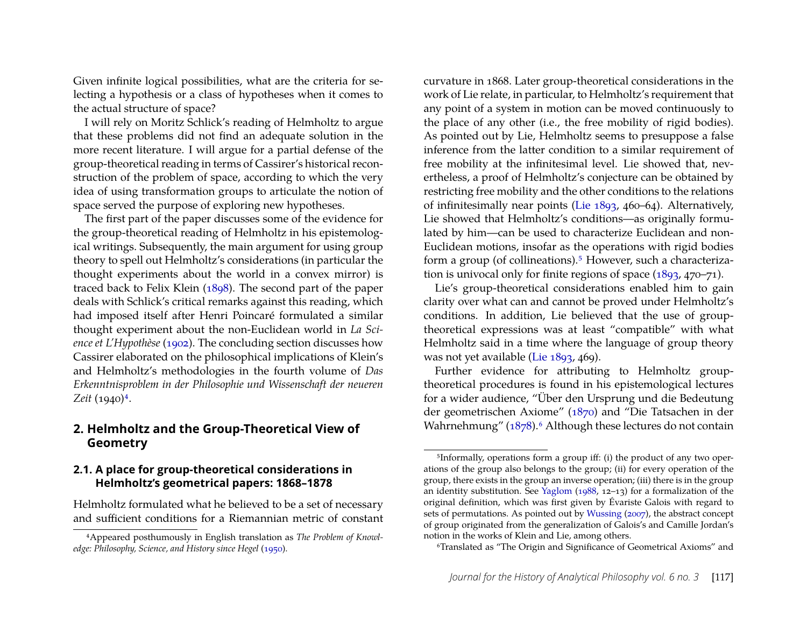Given infinite logical possibilities, what are the criteria for selecting a hypothesis or a class of hypotheses when it comes to the actual structure of space?

I will rely on Moritz Schlick's reading of Helmholtz to argue that these problems did not find an adequate solution in the more recent literature. I will argue for a partial defense of the group-theoretical reading in terms of Cassirer's historical reconstruction of the problem of space, according to which the very idea of using transformation groups to articulate the notion of space served the purpose of exploring new hypotheses.

The first part of the paper discusses some of the evidence for the group-theoretical reading of Helmholtz in his epistemological writings. Subsequently, the main argument for using group theory to spell out Helmholtz's considerations (in particular the thought experiments about the world in a convex mirror) is traced back to Felix Klein [\(1898\)](#page-16-4). The second part of the paper deals with Schlick's critical remarks against this reading, which had imposed itself after Henri Poincaré formulated a similar thought experiment about the non-Euclidean world in *La Science et L'Hypothèse* [\(1902\)](#page-16-3). The concluding section discusses how Cassirer elaborated on the philosophical implications of Klein's and Helmholtz's methodologies in the fourth volume of *Das Erkenntnisproblem in der Philosophie und Wissenschaft der neueren Zeit* (1940)[4](#page-2-0).

#### **2. Helmholtz and the Group-Theoretical View of Geometry**

#### **2.1. A place for group-theoretical considerations in Helmholtz's geometrical papers: 1868–1878**

Helmholtz formulated what he believed to be a set of necessary and sufficient conditions for a Riemannian metric of constant curvature in 1868. Later group-theoretical considerations in the work of Lie relate, in particular, to Helmholtz's requirement that any point of a system in motion can be moved continuously to the place of any other (i.e., the free mobility of rigid bodies). As pointed out by Lie, Helmholtz seems to presuppose a false inference from the latter condition to a similar requirement of free mobility at the infinitesimal level. Lie showed that, nevertheless, a proof of Helmholtz's conjecture can be obtained by restricting free mobility and the other conditions to the relations of infinitesimally near points [\(Lie 1893,](#page-16-2) 460–64). Alternatively, Lie showed that Helmholtz's conditions—as originally formulated by him—can be used to characterize Euclidean and non-Euclidean motions, insofar as the operations with rigid bodies form a group (of collineations).<sup>[5](#page-2-1)</sup> However, such a characterization is univocal only for finite regions of space [\(1893,](#page-16-2) 470–71).

Lie's group-theoretical considerations enabled him to gain clarity over what can and cannot be proved under Helmholtz's conditions. In addition, Lie believed that the use of grouptheoretical expressions was at least "compatible" with what Helmholtz said in a time where the language of group theory was not yet available [\(Lie 1893,](#page-16-2) 469).

Further evidence for attributing to Helmholtz grouptheoretical procedures is found in his epistemological lectures for a wider audience, "Über den Ursprung und die Bedeutung der geometrischen Axiome" [\(1870\)](#page-15-7) and "Die Tatsachen in der Wahrnehmung" [\(1878\)](#page-15-8).<sup>[6](#page-2-2)</sup> Although these lectures do not contain

<span id="page-2-0"></span><sup>4</sup>Appeared posthumously in English translation as *The Problem of Knowledge: Philosophy, Science, and History since Hegel* [\(1950\)](#page-15-6).

<span id="page-2-1"></span><sup>5</sup>Informally, operations form a group iff: (i) the product of any two operations of the group also belongs to the group; (ii) for every operation of the group, there exists in the group an inverse operation; (iii) there is in the group an identity substitution. See [Yaglom](#page-16-5) [\(1988,](#page-16-5) 12–13) for a formalization of the original definition, which was first given by Évariste Galois with regard to sets of permutations. As pointed out by [Wussing](#page-16-6) [\(2007\)](#page-16-6), the abstract concept of group originated from the generalization of Galois's and Camille Jordan's notion in the works of Klein and Lie, among others.

<span id="page-2-2"></span><sup>6</sup>Translated as "The Origin and Significance of Geometrical Axioms" and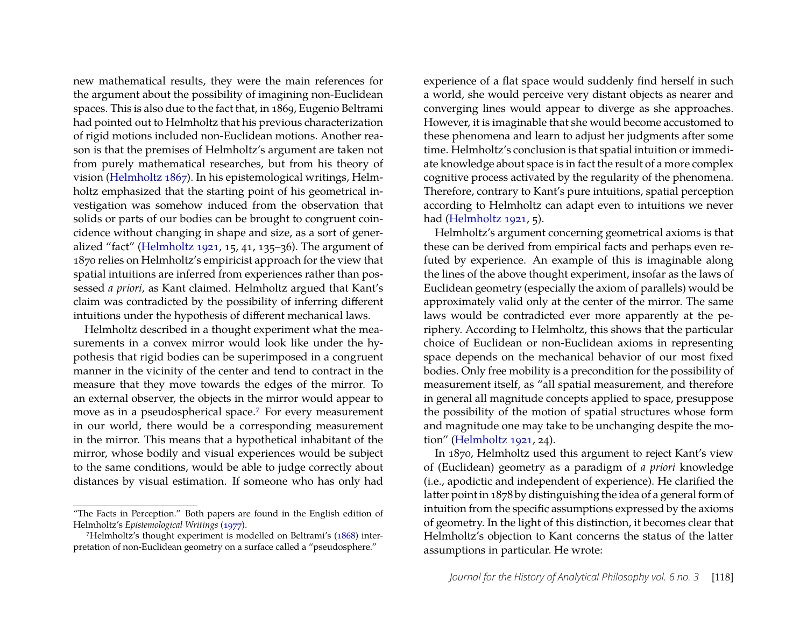new mathematical results, they were the main references for the argument about the possibility of imagining non-Euclidean spaces. This is also due to the fact that, in 1869, Eugenio Beltrami had pointed out to Helmholtz that his previous characterization of rigid motions included non-Euclidean motions. Another reason is that the premises of Helmholtz's argument are taken not from purely mathematical researches, but from his theory of vision [\(Helmholtz 1867\)](#page-15-9). In his epistemological writings, Helmholtz emphasized that the starting point of his geometrical investigation was somehow induced from the observation that solids or parts of our bodies can be brought to congruent coincidence without changing in shape and size, as a sort of generalized "fact" [\(Helmholtz 1921,](#page-15-10) 15, 41, 135–36). The argument of 1870 relies on Helmholtz's empiricist approach for the view that spatial intuitions are inferred from experiences rather than possessed *a priori*, as Kant claimed. Helmholtz argued that Kant's claim was contradicted by the possibility of inferring different intuitions under the hypothesis of different mechanical laws.

Helmholtz described in a thought experiment what the measurements in a convex mirror would look like under the hypothesis that rigid bodies can be superimposed in a congruent manner in the vicinity of the center and tend to contract in the measure that they move towards the edges of the mirror. To an external observer, the objects in the mirror would appear to move as in a pseudospherical space.[7](#page-3-0) For every measurement in our world, there would be a corresponding measurement in the mirror. This means that a hypothetical inhabitant of the mirror, whose bodily and visual experiences would be subject to the same conditions, would be able to judge correctly about distances by visual estimation. If someone who has only had

experience of a flat space would suddenly find herself in such a world, she would perceive very distant objects as nearer and converging lines would appear to diverge as she approaches. However, it is imaginable that she would become accustomed to these phenomena and learn to adjust her judgments after some time. Helmholtz's conclusion is that spatial intuition or immediate knowledge about space is in fact the result of a more complex cognitive process activated by the regularity of the phenomena. Therefore, contrary to Kant's pure intuitions, spatial perception according to Helmholtz can adapt even to intuitions we never had [\(Helmholtz 1921,](#page-15-10) 5).

Helmholtz's argument concerning geometrical axioms is that these can be derived from empirical facts and perhaps even refuted by experience. An example of this is imaginable along the lines of the above thought experiment, insofar as the laws of Euclidean geometry (especially the axiom of parallels) would be approximately valid only at the center of the mirror. The same laws would be contradicted ever more apparently at the periphery. According to Helmholtz, this shows that the particular choice of Euclidean or non-Euclidean axioms in representing space depends on the mechanical behavior of our most fixed bodies. Only free mobility is a precondition for the possibility of measurement itself, as "all spatial measurement, and therefore in general all magnitude concepts applied to space, presuppose the possibility of the motion of spatial structures whose form and magnitude one may take to be unchanging despite the motion" [\(Helmholtz 1921,](#page-15-10) 24).

In 1870, Helmholtz used this argument to reject Kant's view of (Euclidean) geometry as a paradigm of *a priori* knowledge (i.e., apodictic and independent of experience). He clarified the latter point in 1878 by distinguishing the idea of a general form of intuition from the specific assumptions expressed by the axioms of geometry. In the light of this distinction, it becomes clear that Helmholtz's objection to Kant concerns the status of the latter assumptions in particular. He wrote:

<sup>&</sup>quot;The Facts in Perception." Both papers are found in the English edition of Helmholtz's *Epistemological Writings* [\(1977\)](#page-15-11).

<span id="page-3-0"></span><sup>7</sup>Helmholtz's thought experiment is modelled on Beltrami's [\(1868\)](#page-15-12) interpretation of non-Euclidean geometry on a surface called a "pseudosphere."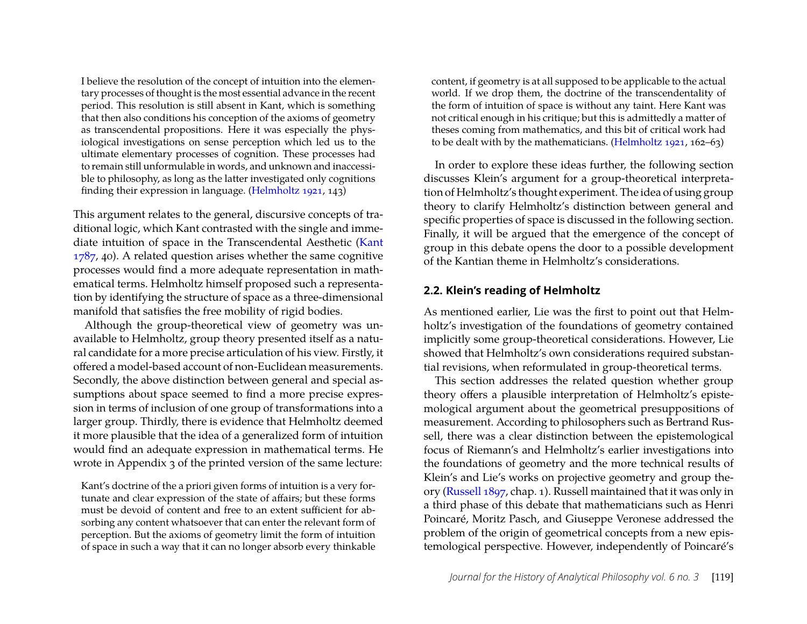I believe the resolution of the concept of intuition into the elementary processes of thought is the most essential advance in the recent period. This resolution is still absent in Kant, which is something that then also conditions his conception of the axioms of geometry as transcendental propositions. Here it was especially the physiological investigations on sense perception which led us to the ultimate elementary processes of cognition. These processes had to remain still unformulable in words, and unknown and inaccessible to philosophy, as long as the latter investigated only cognitions finding their expression in language. [\(Helmholtz 1921,](#page-15-10) 143)

This argument relates to the general, discursive concepts of traditional logic, which Kant contrasted with the single and immediate intuition of space in the Transcendental Aesthetic [\(Kant](#page-15-13) [1787,](#page-15-13) 40). A related question arises whether the same cognitive processes would find a more adequate representation in mathematical terms. Helmholtz himself proposed such a representation by identifying the structure of space as a three-dimensional manifold that satisfies the free mobility of rigid bodies.

Although the group-theoretical view of geometry was unavailable to Helmholtz, group theory presented itself as a natural candidate for a more precise articulation of his view. Firstly, it offered a model-based account of non-Euclidean measurements. Secondly, the above distinction between general and special assumptions about space seemed to find a more precise expression in terms of inclusion of one group of transformations into a larger group. Thirdly, there is evidence that Helmholtz deemed it more plausible that the idea of a generalized form of intuition would find an adequate expression in mathematical terms. He wrote in Appendix 3 of the printed version of the same lecture:

Kant's doctrine of the a priori given forms of intuition is a very fortunate and clear expression of the state of affairs; but these forms must be devoid of content and free to an extent sufficient for absorbing any content whatsoever that can enter the relevant form of perception. But the axioms of geometry limit the form of intuition of space in such a way that it can no longer absorb every thinkable

content, if geometry is at all supposed to be applicable to the actual world. If we drop them, the doctrine of the transcendentality of the form of intuition of space is without any taint. Here Kant was not critical enough in his critique; but this is admittedly a matter of theses coming from mathematics, and this bit of critical work had to be dealt with by the mathematicians. [\(Helmholtz 1921,](#page-15-10) 162–63)

In order to explore these ideas further, the following section discusses Klein's argument for a group-theoretical interpretation of Helmholtz's thought experiment. The idea of using group theory to clarify Helmholtz's distinction between general and specific properties of space is discussed in the following section. Finally, it will be argued that the emergence of the concept of group in this debate opens the door to a possible development of the Kantian theme in Helmholtz's considerations.

#### **2.2. Klein's reading of Helmholtz**

As mentioned earlier, Lie was the first to point out that Helmholtz's investigation of the foundations of geometry contained implicitly some group-theoretical considerations. However, Lie showed that Helmholtz's own considerations required substantial revisions, when reformulated in group-theoretical terms.

This section addresses the related question whether group theory offers a plausible interpretation of Helmholtz's epistemological argument about the geometrical presuppositions of measurement. According to philosophers such as Bertrand Russell, there was a clear distinction between the epistemological focus of Riemann's and Helmholtz's earlier investigations into the foundations of geometry and the more technical results of Klein's and Lie's works on projective geometry and group theory [\(Russell 1897,](#page-16-7) chap. 1). Russell maintained that it was only in a third phase of this debate that mathematicians such as Henri Poincaré, Moritz Pasch, and Giuseppe Veronese addressed the problem of the origin of geometrical concepts from a new epistemological perspective. However, independently of Poincaré's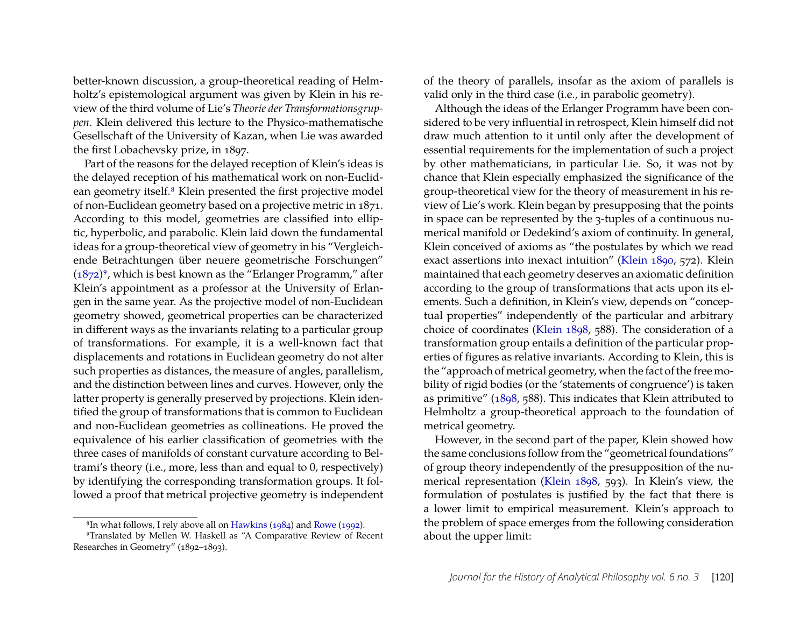better-known discussion, a group-theoretical reading of Helmholtz's epistemological argument was given by Klein in his review of the third volume of Lie's *Theorie der Transformationsgruppen*. Klein delivered this lecture to the Physico-mathematische Gesellschaft of the University of Kazan, when Lie was awarded the first Lobachevsky prize, in 1897.

Part of the reasons for the delayed reception of Klein's ideas is the delayed reception of his mathematical work on non-Euclid-ean geometry itself.<sup>[8](#page-5-0)</sup> Klein presented the first projective model of non-Euclidean geometry based on a projective metric in 1871. According to this model, geometries are classified into elliptic, hyperbolic, and parabolic. Klein laid down the fundamental ideas for a group-theoretical view of geometry in his "Vergleichende Betrachtungen über neuere geometrische Forschungen"  $(1872)$ <sup>[9](#page-5-1)</sup>, which is best known as the "Erlanger Programm," after Klein's appointment as a professor at the University of Erlangen in the same year. As the projective model of non-Euclidean geometry showed, geometrical properties can be characterized in different ways as the invariants relating to a particular group of transformations. For example, it is a well-known fact that displacements and rotations in Euclidean geometry do not alter such properties as distances, the measure of angles, parallelism, and the distinction between lines and curves. However, only the latter property is generally preserved by projections. Klein identified the group of transformations that is common to Euclidean and non-Euclidean geometries as collineations. He proved the equivalence of his earlier classification of geometries with the three cases of manifolds of constant curvature according to Beltrami's theory (i.e., more, less than and equal to 0, respectively) by identifying the corresponding transformation groups. It followed a proof that metrical projective geometry is independent

<span id="page-5-1"></span><span id="page-5-0"></span>8In what follows, I rely above all on [Hawkins](#page-15-14) [\(1984\)](#page-15-14) and [Rowe](#page-16-9) [\(1992\)](#page-16-9).

9Translated by Mellen W. Haskell as "A Comparative Review of Recent Researches in Geometry" (1892–1893).

of the theory of parallels, insofar as the axiom of parallels is valid only in the third case (i.e., in parabolic geometry).

Although the ideas of the Erlanger Programm have been considered to be very influential in retrospect, Klein himself did not draw much attention to it until only after the development of essential requirements for the implementation of such a project by other mathematicians, in particular Lie. So, it was not by chance that Klein especially emphasized the significance of the group-theoretical view for the theory of measurement in his review of Lie's work. Klein began by presupposing that the points in space can be represented by the 3-tuples of a continuous numerical manifold or Dedekind's axiom of continuity. In general, Klein conceived of axioms as "the postulates by which we read exact assertions into inexact intuition" [\(Klein 1890,](#page-16-10) 572). Klein maintained that each geometry deserves an axiomatic definition according to the group of transformations that acts upon its elements. Such a definition, in Klein's view, depends on "conceptual properties" independently of the particular and arbitrary choice of coordinates [\(Klein 1898,](#page-16-4) 588). The consideration of a transformation group entails a definition of the particular properties of figures as relative invariants. According to Klein, this is the "approach of metrical geometry, when the fact of the free mobility of rigid bodies (or the 'statements of congruence') is taken as primitive" [\(1898,](#page-16-4) 588). This indicates that Klein attributed to Helmholtz a group-theoretical approach to the foundation of metrical geometry.

However, in the second part of the paper, Klein showed how the same conclusions follow from the "geometrical foundations" of group theory independently of the presupposition of the numerical representation [\(Klein 1898,](#page-16-4) 593). In Klein's view, the formulation of postulates is justified by the fact that there is a lower limit to empirical measurement. Klein's approach to the problem of space emerges from the following consideration about the upper limit: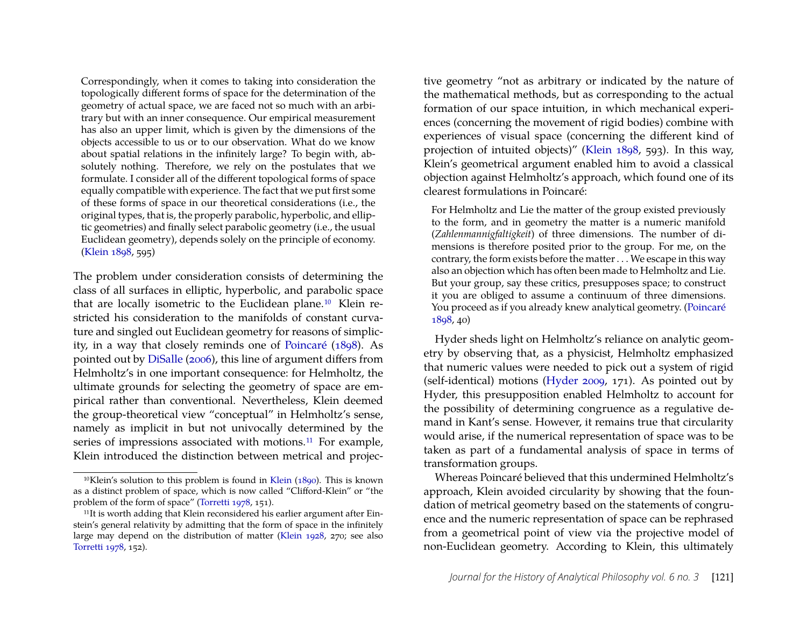Correspondingly, when it comes to taking into consideration the topologically different forms of space for the determination of the geometry of actual space, we are faced not so much with an arbitrary but with an inner consequence. Our empirical measurement has also an upper limit, which is given by the dimensions of the objects accessible to us or to our observation. What do we know about spatial relations in the infinitely large? To begin with, absolutely nothing. Therefore, we rely on the postulates that we formulate. I consider all of the different topological forms of space equally compatible with experience. The fact that we put first some of these forms of space in our theoretical considerations (i.e., the original types, that is, the properly parabolic, hyperbolic, and elliptic geometries) and finally select parabolic geometry (i.e., the usual Euclidean geometry), depends solely on the principle of economy. [\(Klein 1898,](#page-16-4) 595)

The problem under consideration consists of determining the class of all surfaces in elliptic, hyperbolic, and parabolic space that are locally isometric to the Euclidean plane.[10](#page-6-0) Klein restricted his consideration to the manifolds of constant curvature and singled out Euclidean geometry for reasons of simplicity, in a way that closely reminds one of [Poincaré](#page-16-11) [\(1898\)](#page-16-11). As pointed out by [DiSalle](#page-15-1) [\(2006\)](#page-15-1), this line of argument differs from Helmholtz's in one important consequence: for Helmholtz, the ultimate grounds for selecting the geometry of space are empirical rather than conventional. Nevertheless, Klein deemed the group-theoretical view "conceptual" in Helmholtz's sense, namely as implicit in but not univocally determined by the series of impressions associated with motions.<sup>[11](#page-6-1)</sup> For example, Klein introduced the distinction between metrical and projec-

tive geometry "not as arbitrary or indicated by the nature of the mathematical methods, but as corresponding to the actual formation of our space intuition, in which mechanical experiences (concerning the movement of rigid bodies) combine with experiences of visual space (concerning the different kind of projection of intuited objects)" [\(Klein 1898,](#page-16-4) 593). In this way, Klein's geometrical argument enabled him to avoid a classical objection against Helmholtz's approach, which found one of its clearest formulations in Poincaré:

For Helmholtz and Lie the matter of the group existed previously to the form, and in geometry the matter is a numeric manifold (*Zahlenmannigfaltigkeit*) of three dimensions. The number of dimensions is therefore posited prior to the group. For me, on the contrary, the form exists before the matter . . . We escape in this way also an objection which has often been made to Helmholtz and Lie. But your group, say these critics, presupposes space; to construct it you are obliged to assume a continuum of three dimensions. You proceed as if you already knew analytical geometry. [\(Poincaré](#page-16-11) [1898,](#page-16-11) 40)

Hyder sheds light on Helmholtz's reliance on analytic geometry by observing that, as a physicist, Helmholtz emphasized that numeric values were needed to pick out a system of rigid (self-identical) motions [\(Hyder 2009,](#page-15-2) 171). As pointed out by Hyder, this presupposition enabled Helmholtz to account for the possibility of determining congruence as a regulative demand in Kant's sense. However, it remains true that circularity would arise, if the numerical representation of space was to be taken as part of a fundamental analysis of space in terms of transformation groups.

Whereas Poincaré believed that this undermined Helmholtz's approach, Klein avoided circularity by showing that the foundation of metrical geometry based on the statements of congruence and the numeric representation of space can be rephrased from a geometrical point of view via the projective model of non-Euclidean geometry. According to Klein, this ultimately

<span id="page-6-0"></span> $10$ [Klein](#page-16-10)'s solution to this problem is found in Klein ( $1890$ ). This is known as a distinct problem of space, which is now called "Clifford-Klein" or "the problem of the form of space" [\(Torretti 1978,](#page-16-12) 151).

<span id="page-6-1"></span><sup>11</sup>It is worth adding that Klein reconsidered his earlier argument after Einstein's general relativity by admitting that the form of space in the infinitely large may depend on the distribution of matter [\(Klein 1928,](#page-16-13) 270; see also [Torretti 1978,](#page-16-12) 152).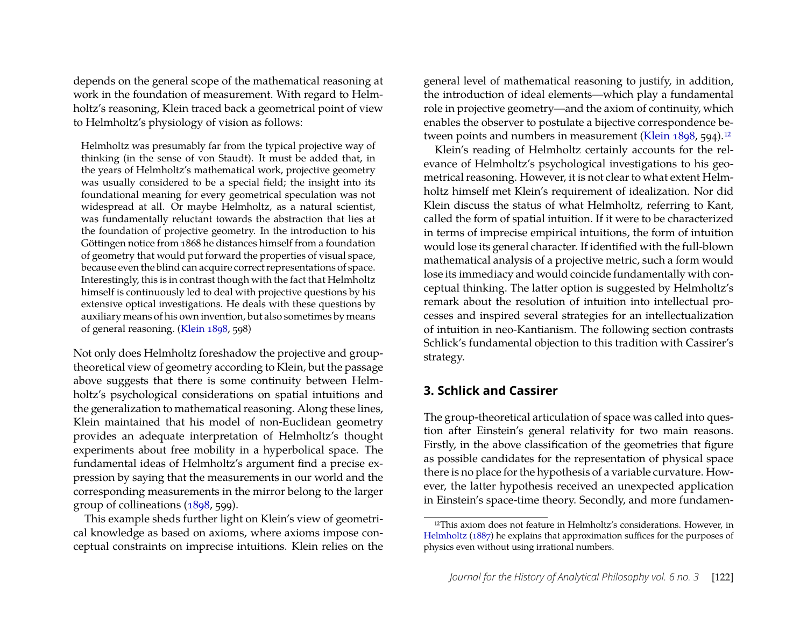depends on the general scope of the mathematical reasoning at work in the foundation of measurement. With regard to Helmholtz's reasoning, Klein traced back a geometrical point of view to Helmholtz's physiology of vision as follows:

Helmholtz was presumably far from the typical projective way of thinking (in the sense of von Staudt). It must be added that, in the years of Helmholtz's mathematical work, projective geometry was usually considered to be a special field; the insight into its foundational meaning for every geometrical speculation was not widespread at all. Or maybe Helmholtz, as a natural scientist, was fundamentally reluctant towards the abstraction that lies at the foundation of projective geometry. In the introduction to his Göttingen notice from 1868 he distances himself from a foundation of geometry that would put forward the properties of visual space, because even the blind can acquire correct representations of space. Interestingly, this is in contrast though with the fact that Helmholtz himself is continuously led to deal with projective questions by his extensive optical investigations. He deals with these questions by auxiliary means of his own invention, but also sometimes by means of general reasoning. [\(Klein 1898,](#page-16-4) 598)

Not only does Helmholtz foreshadow the projective and grouptheoretical view of geometry according to Klein, but the passage above suggests that there is some continuity between Helmholtz's psychological considerations on spatial intuitions and the generalization to mathematical reasoning. Along these lines, Klein maintained that his model of non-Euclidean geometry provides an adequate interpretation of Helmholtz's thought experiments about free mobility in a hyperbolical space. The fundamental ideas of Helmholtz's argument find a precise expression by saying that the measurements in our world and the corresponding measurements in the mirror belong to the larger group of collineations [\(1898,](#page-16-4) 599).

This example sheds further light on Klein's view of geometrical knowledge as based on axioms, where axioms impose conceptual constraints on imprecise intuitions. Klein relies on the general level of mathematical reasoning to justify, in addition, the introduction of ideal elements—which play a fundamental role in projective geometry—and the axiom of continuity, which enables the observer to postulate a bijective correspondence be-tween points and numbers in measurement [\(Klein 1898,](#page-16-4) 594).<sup>[12](#page-7-0)</sup>

Klein's reading of Helmholtz certainly accounts for the relevance of Helmholtz's psychological investigations to his geometrical reasoning. However, it is not clear to what extent Helmholtz himself met Klein's requirement of idealization. Nor did Klein discuss the status of what Helmholtz, referring to Kant, called the form of spatial intuition. If it were to be characterized in terms of imprecise empirical intuitions, the form of intuition would lose its general character. If identified with the full-blown mathematical analysis of a projective metric, such a form would lose its immediacy and would coincide fundamentally with conceptual thinking. The latter option is suggested by Helmholtz's remark about the resolution of intuition into intellectual processes and inspired several strategies for an intellectualization of intuition in neo-Kantianism. The following section contrasts Schlick's fundamental objection to this tradition with Cassirer's strategy.

#### **3. Schlick and Cassirer**

The group-theoretical articulation of space was called into question after Einstein's general relativity for two main reasons. Firstly, in the above classification of the geometries that figure as possible candidates for the representation of physical space there is no place for the hypothesis of a variable curvature. However, the latter hypothesis received an unexpected application in Einstein's space-time theory. Secondly, and more fundamen-

<span id="page-7-0"></span><sup>&</sup>lt;sup>12</sup>This axiom does not feature in Helmholtz's considerations. However, in [Helmholtz](#page-15-15) [\(1887\)](#page-15-15) he explains that approximation suffices for the purposes of physics even without using irrational numbers.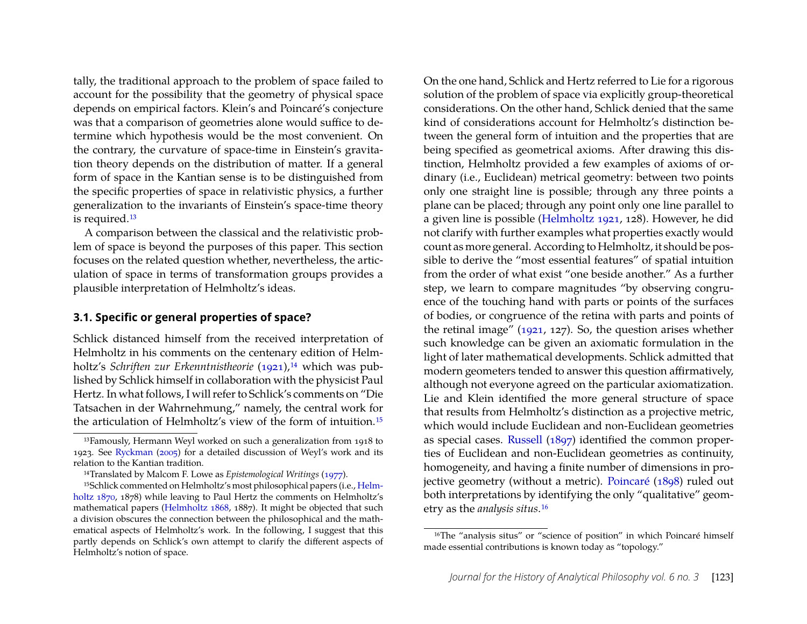tally, the traditional approach to the problem of space failed to account for the possibility that the geometry of physical space depends on empirical factors. Klein's and Poincaré's conjecture was that a comparison of geometries alone would suffice to determine which hypothesis would be the most convenient. On the contrary, the curvature of space-time in Einstein's gravitation theory depends on the distribution of matter. If a general form of space in the Kantian sense is to be distinguished from the specific properties of space in relativistic physics, a further generalization to the invariants of Einstein's space-time theory is required.[13](#page-8-1)

A comparison between the classical and the relativistic problem of space is beyond the purposes of this paper. This section focuses on the related question whether, nevertheless, the articulation of space in terms of transformation groups provides a plausible interpretation of Helmholtz's ideas.

#### <span id="page-8-0"></span>**3.1. Specific or general properties of space?**

Schlick distanced himself from the received interpretation of Helmholtz in his comments on the centenary edition of Helmholtz's *Schriften zur Erkenntnistheorie* [\(1921\)](#page-15-10),<sup>[14](#page-8-2)</sup> which was published by Schlick himself in collaboration with the physicist Paul Hertz. In what follows, I will refer to Schlick's comments on "Die Tatsachen in der Wahrnehmung," namely, the central work for the articulation of Helmholtz's view of the form of intuition.[15](#page-8-3) On the one hand, Schlick and Hertz referred to Lie for a rigorous solution of the problem of space via explicitly group-theoretical considerations. On the other hand, Schlick denied that the same kind of considerations account for Helmholtz's distinction between the general form of intuition and the properties that are being specified as geometrical axioms. After drawing this distinction, Helmholtz provided a few examples of axioms of ordinary (i.e., Euclidean) metrical geometry: between two points only one straight line is possible; through any three points a plane can be placed; through any point only one line parallel to a given line is possible [\(Helmholtz 1921,](#page-15-10) 128). However, he did not clarify with further examples what properties exactly would count as more general. According to Helmholtz, it should be possible to derive the "most essential features" of spatial intuition from the order of what exist "one beside another." As a further step, we learn to compare magnitudes "by observing congruence of the touching hand with parts or points of the surfaces of bodies, or congruence of the retina with parts and points of the retinal image" [\(1921,](#page-15-10) 127). So, the question arises whether such knowledge can be given an axiomatic formulation in the light of later mathematical developments. Schlick admitted that modern geometers tended to answer this question affirmatively, although not everyone agreed on the particular axiomatization. Lie and Klein identified the more general structure of space that results from Helmholtz's distinction as a projective metric, which would include Euclidean and non-Euclidean geometries as special cases. [Russell](#page-16-7) [\(1897\)](#page-16-7) identified the common properties of Euclidean and non-Euclidean geometries as continuity, homogeneity, and having a finite number of dimensions in projective geometry (without a metric). [Poincaré](#page-16-11) [\(1898\)](#page-16-11) ruled out both interpretations by identifying the only "qualitative" geometry as the *analysis situs*.[16](#page-8-4)

<span id="page-8-1"></span><sup>13</sup>Famously, Hermann Weyl worked on such a generalization from 1918 to 1923. See [Ryckman](#page-16-0) [\(2005\)](#page-16-0) for a detailed discussion of Weyl's work and its relation to the Kantian tradition.

<span id="page-8-3"></span><span id="page-8-2"></span><sup>14</sup>Translated by Malcom F. Lowe as *Epistemological Writings* [\(1977\)](#page-15-11).

<sup>15</sup>Schlick commented on Helmholtz's most philosophical papers (i.e., [Helm](#page-15-7)[holtz 1870,](#page-15-7) 1878) while leaving to Paul Hertz the comments on Helmholtz's mathematical papers [\(Helmholtz 1868,](#page-15-5) 1887). It might be objected that such a division obscures the connection between the philosophical and the mathematical aspects of Helmholtz's work. In the following, I suggest that this partly depends on Schlick's own attempt to clarify the different aspects of Helmholtz's notion of space.

<span id="page-8-4"></span><sup>&</sup>lt;sup>16</sup>The "analysis situs" or "science of position" in which Poincaré himself made essential contributions is known today as "topology."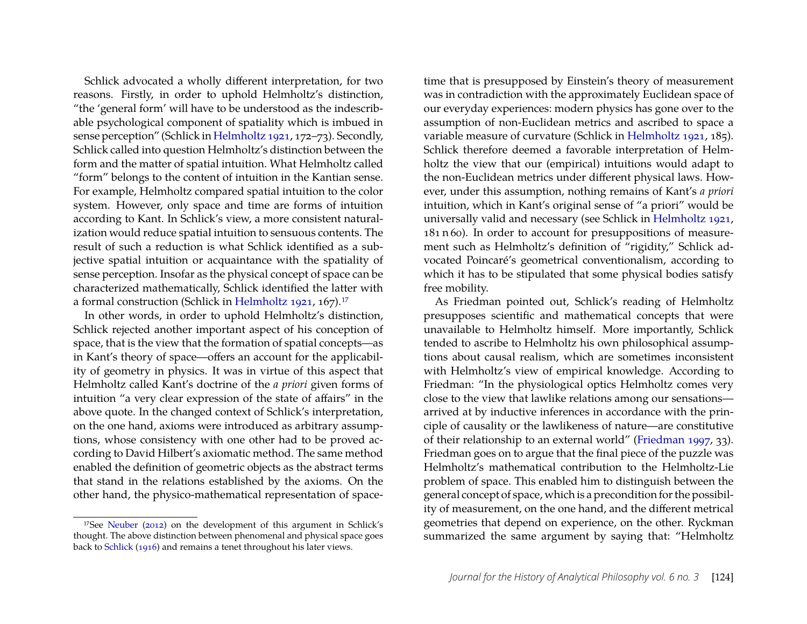Schlick advocated a wholly different interpretation, for two reasons. Firstly, in order to uphold Helmholtz's distinction, "the 'general form' will have to be understood as the indescribable psychological component of spatiality which is imbued in sense perception" (Schlick in [Helmholtz 1921,](#page-15-10) 172–73). Secondly, Schlick called into question Helmholtz's distinction between the form and the matter of spatial intuition. What Helmholtz called "form" belongs to the content of intuition in the Kantian sense. For example, Helmholtz compared spatial intuition to the color system. However, only space and time are forms of intuition according to Kant. In Schlick's view, a more consistent naturalization would reduce spatial intuition to sensuous contents. The result of such a reduction is what Schlick identified as a subjective spatial intuition or acquaintance with the spatiality of sense perception. Insofar as the physical concept of space can be characterized mathematically, Schlick identified the latter with a formal construction (Schlick in [Helmholtz 1921,](#page-15-10) 167).<sup>[17](#page-9-0)</sup>

In other words, in order to uphold Helmholtz's distinction, Schlick rejected another important aspect of his conception of space, that is the view that the formation of spatial concepts—as in Kant's theory of space—offers an account for the applicability of geometry in physics. It was in virtue of this aspect that Helmholtz called Kant's doctrine of the *a priori* given forms of intuition "a very clear expression of the state of affairs" in the above quote. In the changed context of Schlick's interpretation, on the one hand, axioms were introduced as arbitrary assumptions, whose consistency with one other had to be proved according to David Hilbert's axiomatic method. The same method enabled the definition of geometric objects as the abstract terms that stand in the relations established by the axioms. On the other hand, the physico-mathematical representation of spacetime that is presupposed by Einstein's theory of measurement was in contradiction with the approximately Euclidean space of our everyday experiences: modern physics has gone over to the assumption of non-Euclidean metrics and ascribed to space a variable measure of curvature (Schlick in [Helmholtz 1921,](#page-15-10) 185). Schlick therefore deemed a favorable interpretation of Helmholtz the view that our (empirical) intuitions would adapt to the non-Euclidean metrics under different physical laws. However, under this assumption, nothing remains of Kant's *a priori* intuition, which in Kant's original sense of "a priori" would be universally valid and necessary (see Schlick in [Helmholtz 1921,](#page-15-10) 181 n 60). In order to account for presuppositions of measurement such as Helmholtz's definition of "rigidity," Schlick advocated Poincaré's geometrical conventionalism, according to which it has to be stipulated that some physical bodies satisfy free mobility.

As Friedman pointed out, Schlick's reading of Helmholtz presupposes scientific and mathematical concepts that were unavailable to Helmholtz himself. More importantly, Schlick tended to ascribe to Helmholtz his own philosophical assumptions about causal realism, which are sometimes inconsistent with Helmholtz's view of empirical knowledge. According to Friedman: "In the physiological optics Helmholtz comes very close to the view that lawlike relations among our sensations arrived at by inductive inferences in accordance with the principle of causality or the lawlikeness of nature—are constitutive of their relationship to an external world" [\(Friedman 1997,](#page-15-0) 33). Friedman goes on to argue that the final piece of the puzzle was Helmholtz's mathematical contribution to the Helmholtz-Lie problem of space. This enabled him to distinguish between the general concept of space, which is a precondition for the possibility of measurement, on the one hand, and the different metrical geometries that depend on experience, on the other. Ryckman summarized the same argument by saying that: "Helmholtz

<span id="page-9-0"></span><sup>17</sup>See [Neuber](#page-16-14) [\(2012\)](#page-16-14) on the development of this argument in Schlick's thought. The above distinction between phenomenal and physical space goes back to [Schlick](#page-16-15) [\(1916\)](#page-16-15) and remains a tenet throughout his later views.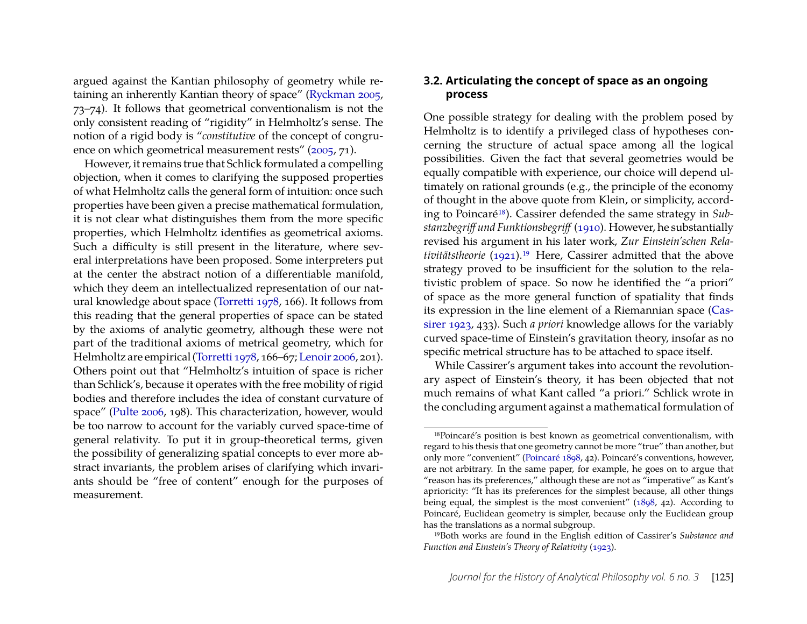argued against the Kantian philosophy of geometry while retaining an inherently Kantian theory of space" [\(Ryckman 2005,](#page-16-0) 73–74). It follows that geometrical conventionalism is not the only consistent reading of "rigidity" in Helmholtz's sense. The notion of a rigid body is "*constitutive* of the concept of congru-ence on which geometrical measurement rests" [\(2005,](#page-16-0) 71).

However, it remains true that Schlick formulated a compelling objection, when it comes to clarifying the supposed properties of what Helmholtz calls the general form of intuition: once such properties have been given a precise mathematical formulation, it is not clear what distinguishes them from the more specific properties, which Helmholtz identifies as geometrical axioms. Such a difficulty is still present in the literature, where several interpretations have been proposed. Some interpreters put at the center the abstract notion of a differentiable manifold, which they deem an intellectualized representation of our natural knowledge about space [\(Torretti 1978,](#page-16-12) 166). It follows from this reading that the general properties of space can be stated by the axioms of analytic geometry, although these were not part of the traditional axioms of metrical geometry, which for Helmholtz are empirical [\(Torretti 1978,](#page-16-12) 166–67; [Lenoir 2006,](#page-16-16) 201). Others point out that "Helmholtz's intuition of space is richer than Schlick's, because it operates with the free mobility of rigid bodies and therefore includes the idea of constant curvature of space" [\(Pulte 2006,](#page-16-17) 198). This characterization, however, would be too narrow to account for the variably curved space-time of general relativity. To put it in group-theoretical terms, given the possibility of generalizing spatial concepts to ever more abstract invariants, the problem arises of clarifying which invariants should be "free of content" enough for the purposes of measurement.

#### **3.2. Articulating the concept of space as an ongoing process**

One possible strategy for dealing with the problem posed by Helmholtz is to identify a privileged class of hypotheses concerning the structure of actual space among all the logical possibilities. Given the fact that several geometries would be equally compatible with experience, our choice will depend ultimately on rational grounds (e.g., the principle of the economy of thought in the above quote from Klein, or simplicity, according to Poincaré[18](#page-10-0)). Cassirer defended the same strategy in *Substanzbegriff und Funktionsbegriff* [\(1910\)](#page-15-16). However, he substantially revised his argument in his later work, *Zur Einstein'schen Relativitätstheorie* [\(1921\)](#page-15-17).[19](#page-10-1) Here, Cassirer admitted that the above strategy proved to be insufficient for the solution to the relativistic problem of space. So now he identified the "a priori" of space as the more general function of spatiality that finds its expression in the line element of a Riemannian space [\(Cas](#page-15-18)[sirer 1923,](#page-15-18) 433). Such *a priori* knowledge allows for the variably curved space-time of Einstein's gravitation theory, insofar as no specific metrical structure has to be attached to space itself.

While Cassirer's argument takes into account the revolutionary aspect of Einstein's theory, it has been objected that not much remains of what Kant called "a priori." Schlick wrote in the concluding argument against a mathematical formulation of

<span id="page-10-0"></span><sup>18</sup>Poincaré's position is best known as geometrical conventionalism, with regard to his thesis that one geometry cannot be more "true" than another, but only more "convenient" [\(Poincaré 1898,](#page-16-11) 42). Poincaré's conventions, however, are not arbitrary. In the same paper, for example, he goes on to argue that "reason has its preferences," although these are not as "imperative" as Kant's aprioricity: "It has its preferences for the simplest because, all other things being equal, the simplest is the most convenient" [\(1898,](#page-16-11) 42). According to Poincaré, Euclidean geometry is simpler, because only the Euclidean group has the translations as a normal subgroup.

<span id="page-10-1"></span><sup>19</sup>Both works are found in the English edition of Cassirer's *Substance and Function and Einstein's Theory of Relativity* [\(1923\)](#page-15-18).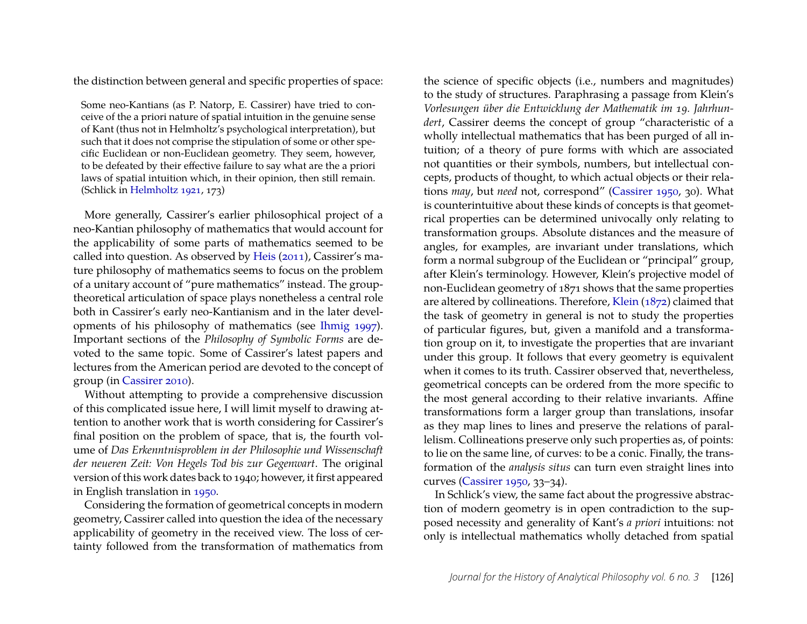the distinction between general and specific properties of space:

Some neo-Kantians (as P. Natorp, E. Cassirer) have tried to conceive of the a priori nature of spatial intuition in the genuine sense of Kant (thus not in Helmholtz's psychological interpretation), but such that it does not comprise the stipulation of some or other specific Euclidean or non-Euclidean geometry. They seem, however, to be defeated by their effective failure to say what are the a priori laws of spatial intuition which, in their opinion, then still remain. (Schlick in [Helmholtz 1921,](#page-15-10) 173)

More generally, Cassirer's earlier philosophical project of a neo-Kantian philosophy of mathematics that would account for the applicability of some parts of mathematics seemed to be called into question. As observed by [Heis](#page-15-19) [\(2011\)](#page-15-19), Cassirer's mature philosophy of mathematics seems to focus on the problem of a unitary account of "pure mathematics" instead. The grouptheoretical articulation of space plays nonetheless a central role both in Cassirer's early neo-Kantianism and in the later developments of his philosophy of mathematics (see [Ihmig 1997\)](#page-15-20). Important sections of the *Philosophy of Symbolic Forms* are devoted to the same topic. Some of Cassirer's latest papers and lectures from the American period are devoted to the concept of group (in [Cassirer 2010\)](#page-15-21).

Without attempting to provide a comprehensive discussion of this complicated issue here, I will limit myself to drawing attention to another work that is worth considering for Cassirer's final position on the problem of space, that is, the fourth volume of *Das Erkenntnisproblem in der Philosophie und Wissenschaft der neueren Zeit: Von Hegels Tod bis zur Gegenwart*. The original version of this work dates back to 1940; however, it first appeared in English translation in [1950.](#page-15-6)

Considering the formation of geometrical concepts in modern geometry, Cassirer called into question the idea of the necessary applicability of geometry in the received view. The loss of certainty followed from the transformation of mathematics from the science of specific objects (i.e., numbers and magnitudes) to the study of structures. Paraphrasing a passage from Klein's *Vorlesungen über die Entwicklung der Mathematik im 19. Jahrhundert*, Cassirer deems the concept of group "characteristic of a wholly intellectual mathematics that has been purged of all intuition; of a theory of pure forms with which are associated not quantities or their symbols, numbers, but intellectual concepts, products of thought, to which actual objects or their relations *may*, but *need* not, correspond" [\(Cassirer 1950,](#page-15-6) 30). What is counterintuitive about these kinds of concepts is that geometrical properties can be determined univocally only relating to transformation groups. Absolute distances and the measure of angles, for examples, are invariant under translations, which form a normal subgroup of the Euclidean or "principal" group, after Klein's terminology. However, Klein's projective model of non-Euclidean geometry of 1871 shows that the same properties are altered by collineations. Therefore, [Klein](#page-16-8) [\(1872\)](#page-16-8) claimed that the task of geometry in general is not to study the properties of particular figures, but, given a manifold and a transformation group on it, to investigate the properties that are invariant under this group. It follows that every geometry is equivalent when it comes to its truth. Cassirer observed that, nevertheless, geometrical concepts can be ordered from the more specific to the most general according to their relative invariants. Affine transformations form a larger group than translations, insofar as they map lines to lines and preserve the relations of parallelism. Collineations preserve only such properties as, of points: to lie on the same line, of curves: to be a conic. Finally, the transformation of the *analysis situs* can turn even straight lines into curves [\(Cassirer 1950,](#page-15-6) 33–34).

In Schlick's view, the same fact about the progressive abstraction of modern geometry is in open contradiction to the supposed necessity and generality of Kant's *a priori* intuitions: not only is intellectual mathematics wholly detached from spatial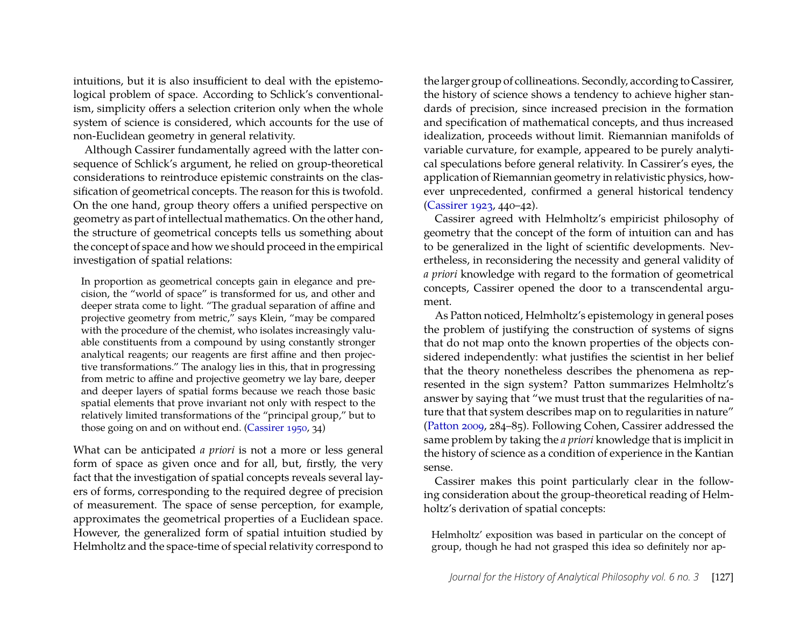intuitions, but it is also insufficient to deal with the epistemological problem of space. According to Schlick's conventionalism, simplicity offers a selection criterion only when the whole system of science is considered, which accounts for the use of non-Euclidean geometry in general relativity.

Although Cassirer fundamentally agreed with the latter consequence of Schlick's argument, he relied on group-theoretical considerations to reintroduce epistemic constraints on the classification of geometrical concepts. The reason for this is twofold. On the one hand, group theory offers a unified perspective on geometry as part of intellectual mathematics. On the other hand, the structure of geometrical concepts tells us something about the concept of space and how we should proceed in the empirical investigation of spatial relations:

In proportion as geometrical concepts gain in elegance and precision, the "world of space" is transformed for us, and other and deeper strata come to light. "The gradual separation of affine and projective geometry from metric," says Klein, "may be compared with the procedure of the chemist, who isolates increasingly valuable constituents from a compound by using constantly stronger analytical reagents; our reagents are first affine and then projective transformations." The analogy lies in this, that in progressing from metric to affine and projective geometry we lay bare, deeper and deeper layers of spatial forms because we reach those basic spatial elements that prove invariant not only with respect to the relatively limited transformations of the "principal group," but to those going on and on without end. [\(Cassirer 1950,](#page-15-6) 34)

What can be anticipated *a priori* is not a more or less general form of space as given once and for all, but, firstly, the very fact that the investigation of spatial concepts reveals several layers of forms, corresponding to the required degree of precision of measurement. The space of sense perception, for example, approximates the geometrical properties of a Euclidean space. However, the generalized form of spatial intuition studied by Helmholtz and the space-time of special relativity correspond to the larger group of collineations. Secondly, according to Cassirer, the history of science shows a tendency to achieve higher standards of precision, since increased precision in the formation and specification of mathematical concepts, and thus increased idealization, proceeds without limit. Riemannian manifolds of variable curvature, for example, appeared to be purely analytical speculations before general relativity. In Cassirer's eyes, the application of Riemannian geometry in relativistic physics, however unprecedented, confirmed a general historical tendency [\(Cassirer 1923,](#page-15-18) 440–42).

Cassirer agreed with Helmholtz's empiricist philosophy of geometry that the concept of the form of intuition can and has to be generalized in the light of scientific developments. Nevertheless, in reconsidering the necessity and general validity of *a priori* knowledge with regard to the formation of geometrical concepts, Cassirer opened the door to a transcendental argument.

As Patton noticed, Helmholtz's epistemology in general poses the problem of justifying the construction of systems of signs that do not map onto the known properties of the objects considered independently: what justifies the scientist in her belief that the theory nonetheless describes the phenomena as represented in the sign system? Patton summarizes Helmholtz's answer by saying that "we must trust that the regularities of nature that that system describes map on to regularities in nature" [\(Patton 2009,](#page-16-18) 284–85). Following Cohen, Cassirer addressed the same problem by taking the *a priori* knowledge that is implicit in the history of science as a condition of experience in the Kantian sense.

Cassirer makes this point particularly clear in the following consideration about the group-theoretical reading of Helmholtz's derivation of spatial concepts:

Helmholtz' exposition was based in particular on the concept of group, though he had not grasped this idea so definitely nor ap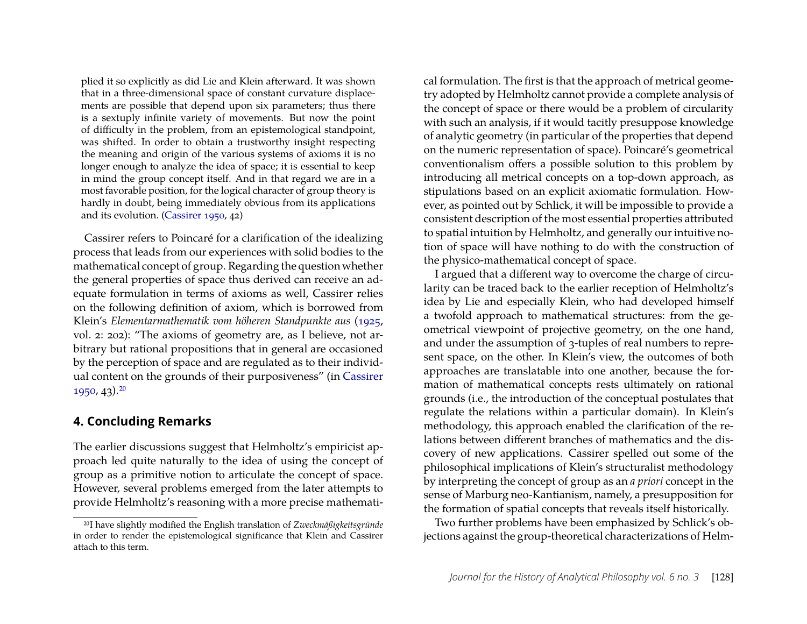plied it so explicitly as did Lie and Klein afterward. It was shown that in a three-dimensional space of constant curvature displacements are possible that depend upon six parameters; thus there is a sextuply infinite variety of movements. But now the point of difficulty in the problem, from an epistemological standpoint, was shifted. In order to obtain a trustworthy insight respecting the meaning and origin of the various systems of axioms it is no longer enough to analyze the idea of space; it is essential to keep in mind the group concept itself. And in that regard we are in a most favorable position, for the logical character of group theory is hardly in doubt, being immediately obvious from its applications and its evolution. [\(Cassirer 1950,](#page-15-6) 42)

Cassirer refers to Poincaré for a clarification of the idealizing process that leads from our experiences with solid bodies to the mathematical concept of group. Regarding the question whether the general properties of space thus derived can receive an adequate formulation in terms of axioms as well, Cassirer relies on the following definition of axiom, which is borrowed from Klein's *Elementarmathematik vom höheren Standpunkte aus* [\(1925,](#page-16-19) vol. 2: 202): "The axioms of geometry are, as I believe, not arbitrary but rational propositions that in general are occasioned by the perception of space and are regulated as to their individual content on the grounds of their purposiveness" (in [Cassirer](#page-15-6)  $1950, 43$  $1950, 43$ ).  $20$ 

#### **4. Concluding Remarks**

The earlier discussions suggest that Helmholtz's empiricist approach led quite naturally to the idea of using the concept of group as a primitive notion to articulate the concept of space. However, several problems emerged from the later attempts to provide Helmholtz's reasoning with a more precise mathematical formulation. The first is that the approach of metrical geometry adopted by Helmholtz cannot provide a complete analysis of the concept of space or there would be a problem of circularity with such an analysis, if it would tacitly presuppose knowledge of analytic geometry (in particular of the properties that depend on the numeric representation of space). Poincaré's geometrical conventionalism offers a possible solution to this problem by introducing all metrical concepts on a top-down approach, as stipulations based on an explicit axiomatic formulation. However, as pointed out by Schlick, it will be impossible to provide a consistent description of the most essential properties attributed to spatial intuition by Helmholtz, and generally our intuitive notion of space will have nothing to do with the construction of the physico-mathematical concept of space.

I argued that a different way to overcome the charge of circularity can be traced back to the earlier reception of Helmholtz's idea by Lie and especially Klein, who had developed himself a twofold approach to mathematical structures: from the geometrical viewpoint of projective geometry, on the one hand, and under the assumption of 3-tuples of real numbers to represent space, on the other. In Klein's view, the outcomes of both approaches are translatable into one another, because the formation of mathematical concepts rests ultimately on rational grounds (i.e., the introduction of the conceptual postulates that regulate the relations within a particular domain). In Klein's methodology, this approach enabled the clarification of the relations between different branches of mathematics and the discovery of new applications. Cassirer spelled out some of the philosophical implications of Klein's structuralist methodology by interpreting the concept of group as an *a priori* concept in the sense of Marburg neo-Kantianism, namely, a presupposition for the formation of spatial concepts that reveals itself historically.

Two further problems have been emphasized by Schlick's objections against the group-theoretical characterizations of Helm-

<span id="page-13-0"></span><sup>20</sup>I have slightly modified the English translation of *Zweckmäßigkeitsgründe* in order to render the epistemological significance that Klein and Cassirer attach to this term.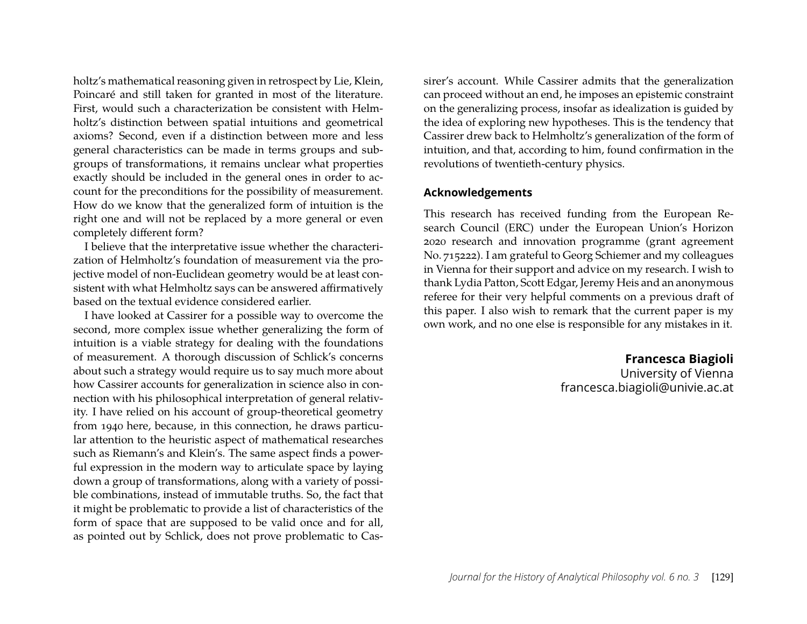holtz's mathematical reasoning given in retrospect by Lie, Klein, Poincaré and still taken for granted in most of the literature. First, would such a characterization be consistent with Helmholtz's distinction between spatial intuitions and geometrical axioms? Second, even if a distinction between more and less general characteristics can be made in terms groups and subgroups of transformations, it remains unclear what properties exactly should be included in the general ones in order to account for the preconditions for the possibility of measurement. How do we know that the generalized form of intuition is the right one and will not be replaced by a more general or even completely different form?

I believe that the interpretative issue whether the characterization of Helmholtz's foundation of measurement via the projective model of non-Euclidean geometry would be at least consistent with what Helmholtz says can be answered affirmatively based on the textual evidence considered earlier.

I have looked at Cassirer for a possible way to overcome the second, more complex issue whether generalizing the form of intuition is a viable strategy for dealing with the foundations of measurement. A thorough discussion of Schlick's concerns about such a strategy would require us to say much more about how Cassirer accounts for generalization in science also in connection with his philosophical interpretation of general relativity. I have relied on his account of group-theoretical geometry from 1940 here, because, in this connection, he draws particular attention to the heuristic aspect of mathematical researches such as Riemann's and Klein's. The same aspect finds a powerful expression in the modern way to articulate space by laying down a group of transformations, along with a variety of possible combinations, instead of immutable truths. So, the fact that it might be problematic to provide a list of characteristics of the form of space that are supposed to be valid once and for all, as pointed out by Schlick, does not prove problematic to Cas-

sirer's account. While Cassirer admits that the generalization can proceed without an end, he imposes an epistemic constraint on the generalizing process, insofar as idealization is guided by the idea of exploring new hypotheses. This is the tendency that Cassirer drew back to Helmholtz's generalization of the form of intuition, and that, according to him, found confirmation in the revolutions of twentieth-century physics.

#### **Acknowledgements**

This research has received funding from the European Research Council (ERC) under the European Union's Horizon 2020 research and innovation programme (grant agreement No. 715222). I am grateful to Georg Schiemer and my colleagues in Vienna for their support and advice on my research. I wish to thank Lydia Patton, Scott Edgar, Jeremy Heis and an anonymous referee for their very helpful comments on a previous draft of this paper. I also wish to remark that the current paper is my own work, and no one else is responsible for any mistakes in it.

> **Francesca Biagioli** University of Vienna francesca.biagioli@univie.ac.at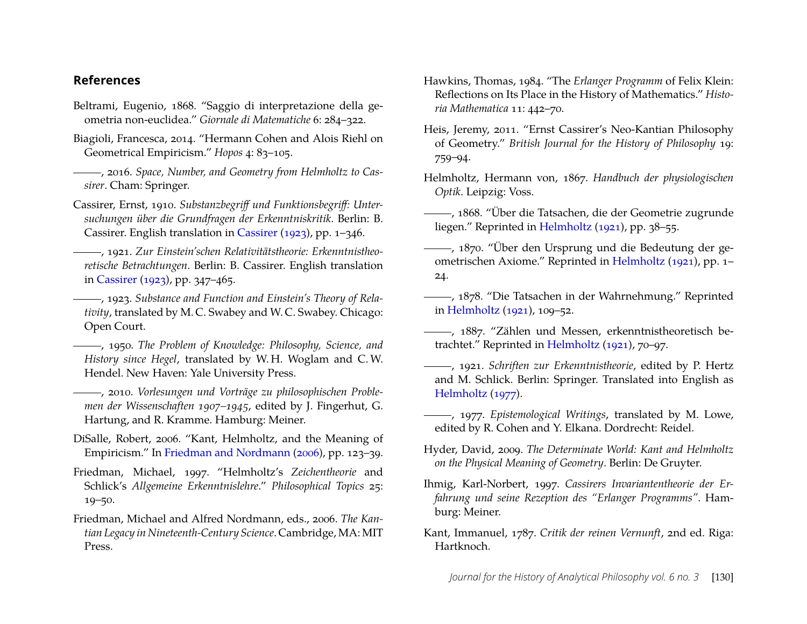#### **References**

- <span id="page-15-12"></span>Beltrami, Eugenio, 1868. "Saggio di interpretazione della geometria non-euclidea." *Giornale di Matematiche* 6: 284–322.
- <span id="page-15-4"></span>Biagioli, Francesca, 2014. "Hermann Cohen and Alois Riehl on Geometrical Empiricism." *Hopos* 4: 83–105.
- <span id="page-15-3"></span>, 2016. *Space, Number, and Geometry from Helmholtz to Cassirer*. Cham: Springer.
- <span id="page-15-16"></span>Cassirer, Ernst, 1910. *Substanzbegriff und Funktionsbegriff: Untersuchungen über die Grundfragen der Erkenntniskritik*. Berlin: B. Cassirer. English translation in [Cassirer](#page-15-18) [\(1923\)](#page-15-18), pp. 1–346.
- <span id="page-15-17"></span>, 1921. *Zur Einstein'schen Relativitätstheorie: Erkenntnistheoretische Betrachtungen*. Berlin: B. Cassirer. English translation in [Cassirer](#page-15-18) [\(1923\)](#page-15-18), pp. 347–465.
- <span id="page-15-18"></span>, 1923. *Substance and Function and Einstein's Theory of Relativity*, translated by M. C. Swabey and W. C. Swabey. Chicago: Open Court.
- <span id="page-15-6"></span>, 1950. *The Problem of Knowledge: Philosophy, Science, and History since Hegel*, translated by W. H. Woglam and C. W. Hendel. New Haven: Yale University Press.
- <span id="page-15-21"></span>, 2010. *Vorlesungen und Vorträge zu philosophischen Problemen der Wissenschaften 1907–1945*, edited by J. Fingerhut, G. Hartung, and R. Kramme. Hamburg: Meiner.
- <span id="page-15-1"></span>DiSalle, Robert, 2006. "Kant, Helmholtz, and the Meaning of Empiricism." In [Friedman and Nordmann](#page-15-22) [\(2006\)](#page-15-22), pp. 123–39.
- <span id="page-15-0"></span>Friedman, Michael, 1997. "Helmholtz's *Zeichentheorie* and Schlick's *Allgemeine Erkenntnislehre*." *Philosophical Topics* 25: 19–50.
- <span id="page-15-22"></span>Friedman, Michael and Alfred Nordmann, eds., 2006. *The Kantian Legacy in Nineteenth-Century Science*. Cambridge, MA: MIT Press.
- <span id="page-15-14"></span>Hawkins, Thomas, 1984. "The *Erlanger Programm* of Felix Klein: Reflections on Its Place in the History of Mathematics." *Historia Mathematica* 11: 442–70.
- <span id="page-15-19"></span>Heis, Jeremy, 2011. "Ernst Cassirer's Neo-Kantian Philosophy of Geometry." *British Journal for the History of Philosophy* 19: 759–94.
- <span id="page-15-9"></span>Helmholtz, Hermann von, 1867. *Handbuch der physiologischen Optik*. Leipzig: Voss.
- <span id="page-15-5"></span>, 1868. "Über die Tatsachen, die der Geometrie zugrunde liegen." Reprinted in [Helmholtz](#page-15-10) [\(1921\)](#page-15-10), pp. 38–55.
- <span id="page-15-7"></span>, 1870. "Über den Ursprung und die Bedeutung der geometrischen Axiome." Reprinted in [Helmholtz](#page-15-10) [\(1921\)](#page-15-10), pp. 1– 24.
- <span id="page-15-8"></span>, 1878. "Die Tatsachen in der Wahrnehmung." Reprinted in [Helmholtz](#page-15-10) [\(1921\)](#page-15-10), 109–52.
- <span id="page-15-15"></span>, 1887. "Zählen und Messen, erkenntnistheoretisch betrachtet." Reprinted in [Helmholtz](#page-15-10) [\(1921\)](#page-15-10), 70–97.
- <span id="page-15-10"></span>, 1921. *Schriften zur Erkenntnistheorie*, edited by P. Hertz and M. Schlick. Berlin: Springer. Translated into English as [Helmholtz](#page-15-11) [\(1977\)](#page-15-11).
- <span id="page-15-11"></span>, 1977. *Epistemological Writings*, translated by M. Lowe, edited by R. Cohen and Y. Elkana. Dordrecht: Reidel.
- <span id="page-15-2"></span>Hyder, David, 2009. *The Determinate World: Kant and Helmholtz on the Physical Meaning of Geometry*. Berlin: De Gruyter.
- <span id="page-15-20"></span>Ihmig, Karl-Norbert, 1997. *Cassirers Invariantentheorie der Erfahrung und seine Rezeption des "Erlanger Programms"*. Hamburg: Meiner.
- <span id="page-15-13"></span>Kant, Immanuel, 1787. *Critik der reinen Vernunft*, 2nd ed. Riga: Hartknoch.